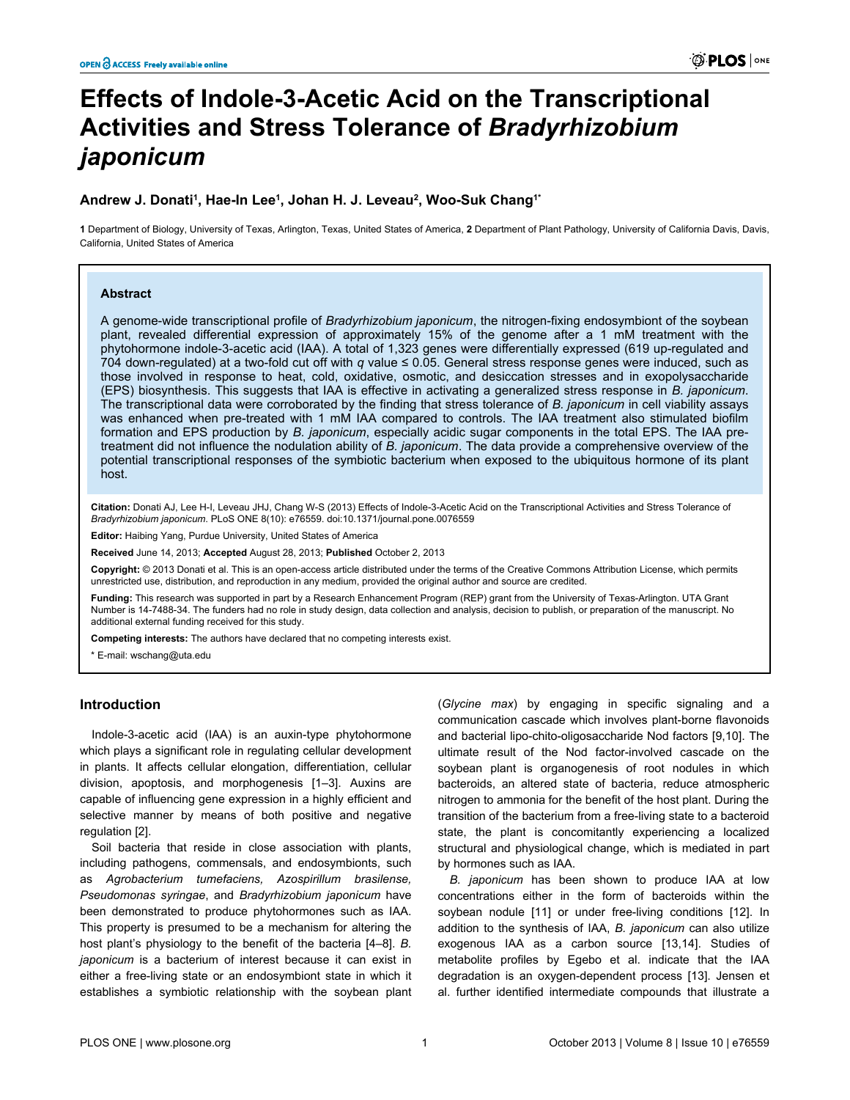# **Effects of Indole-3-Acetic Acid on the Transcriptional Activities and Stress Tolerance of** *Bradyrhizobium japonicum*

# **Andrew J. Donati<sup>1</sup> , Hae-In Lee<sup>1</sup> , Johan H. J. Leveau<sup>2</sup> , Woo-Suk Chang1\***

**1** Department of Biology, University of Texas, Arlington, Texas, United States of America, **2** Department of Plant Pathology, University of California Davis, Davis, California, United States of America

#### **Abstract**

A genome-wide transcriptional profile of *Bradyrhizobium japonicum*, the nitrogen-fixing endosymbiont of the soybean plant, revealed differential expression of approximately 15% of the genome after a 1 mM treatment with the phytohormone indole-3-acetic acid (IAA). A total of 1,323 genes were differentially expressed (619 up-regulated and 704 down-regulated) at a two-fold cut off with *q* value ≤ 0.05. General stress response genes were induced, such as those involved in response to heat, cold, oxidative, osmotic, and desiccation stresses and in exopolysaccharide (EPS) biosynthesis. This suggests that IAA is effective in activating a generalized stress response in *B. japonicum*. The transcriptional data were corroborated by the finding that stress tolerance of *B. japonicum* in cell viability assays was enhanced when pre-treated with 1 mM IAA compared to controls. The IAA treatment also stimulated biofilm formation and EPS production by *B. japonicum*, especially acidic sugar components in the total EPS. The IAA pretreatment did not influence the nodulation ability of *B. japonicum*. The data provide a comprehensive overview of the potential transcriptional responses of the symbiotic bacterium when exposed to the ubiquitous hormone of its plant host.

**Citation:** Donati AJ, Lee H-I, Leveau JHJ, Chang W-S (2013) Effects of Indole-3-Acetic Acid on the Transcriptional Activities and Stress Tolerance of *Bradyrhizobium japonicum*. PLoS ONE 8(10): e76559. doi:10.1371/journal.pone.0076559

**Editor:** Haibing Yang, Purdue University, United States of America

**Received** June 14, 2013; **Accepted** August 28, 2013; **Published** October 2, 2013

**Copyright:** © 2013 Donati et al. This is an open-access article distributed under the terms of the Creative Commons Attribution License, which permits unrestricted use, distribution, and reproduction in any medium, provided the original author and source are credited.

**Funding:** This research was supported in part by a Research Enhancement Program (REP) grant from the University of Texas-Arlington. UTA Grant Number is 14-7488-34. The funders had no role in study design, data collection and analysis, decision to publish, or preparation of the manuscript. No additional external funding received for this study.

**Competing interests:** The authors have declared that no competing interests exist.

\* E-mail: wschang@uta.edu

# **Introduction**

Indole-3-acetic acid (IAA) is an auxin-type phytohormone which plays a significant role in regulating cellular development in plants. It affects cellular elongation, differentiation, cellular division, apoptosis, and morphogenesis [\[1–3](#page-9-0)]. Auxins are capable of influencing gene expression in a highly efficient and selective manner by means of both positive and negative regulation [[2](#page-9-0)].

Soil bacteria that reside in close association with plants, including pathogens, commensals, and endosymbionts, such as *Agrobacterium tumefaciens, Azospirillum brasilense, Pseudomonas syringae*, and *Bradyrhizobium japonicum* have been demonstrated to produce phytohormones such as IAA. This property is presumed to be a mechanism for altering the host plant's physiology to the benefit of the bacteria [\[4–8](#page-9-0)]. *B. japonicum* is a bacterium of interest because it can exist in either a free-living state or an endosymbiont state in which it establishes a symbiotic relationship with the soybean plant

(*Glycine max*) by engaging in specific signaling and a communication cascade which involves plant-borne flavonoids and bacterial lipo-chito-oligosaccharide Nod factors [[9](#page-9-0),[10](#page-9-0)]. The ultimate result of the Nod factor-involved cascade on the soybean plant is organogenesis of root nodules in which bacteroids, an altered state of bacteria, reduce atmospheric nitrogen to ammonia for the benefit of the host plant. During the transition of the bacterium from a free-living state to a bacteroid state, the plant is concomitantly experiencing a localized structural and physiological change, which is mediated in part by hormones such as IAA.

*B. japonicum* has been shown to produce IAA at low concentrations either in the form of bacteroids within the soybean nodule [\[11\]](#page-9-0) or under free-living conditions [\[12\]](#page-9-0). In addition to the synthesis of IAA, *B. japonicum* can also utilize exogenous IAA as a carbon source [\[13,14\]](#page-9-0). Studies of metabolite profiles by Egebo et al. indicate that the IAA degradation is an oxygen-dependent process [[13](#page-9-0)]. Jensen et al. further identified intermediate compounds that illustrate a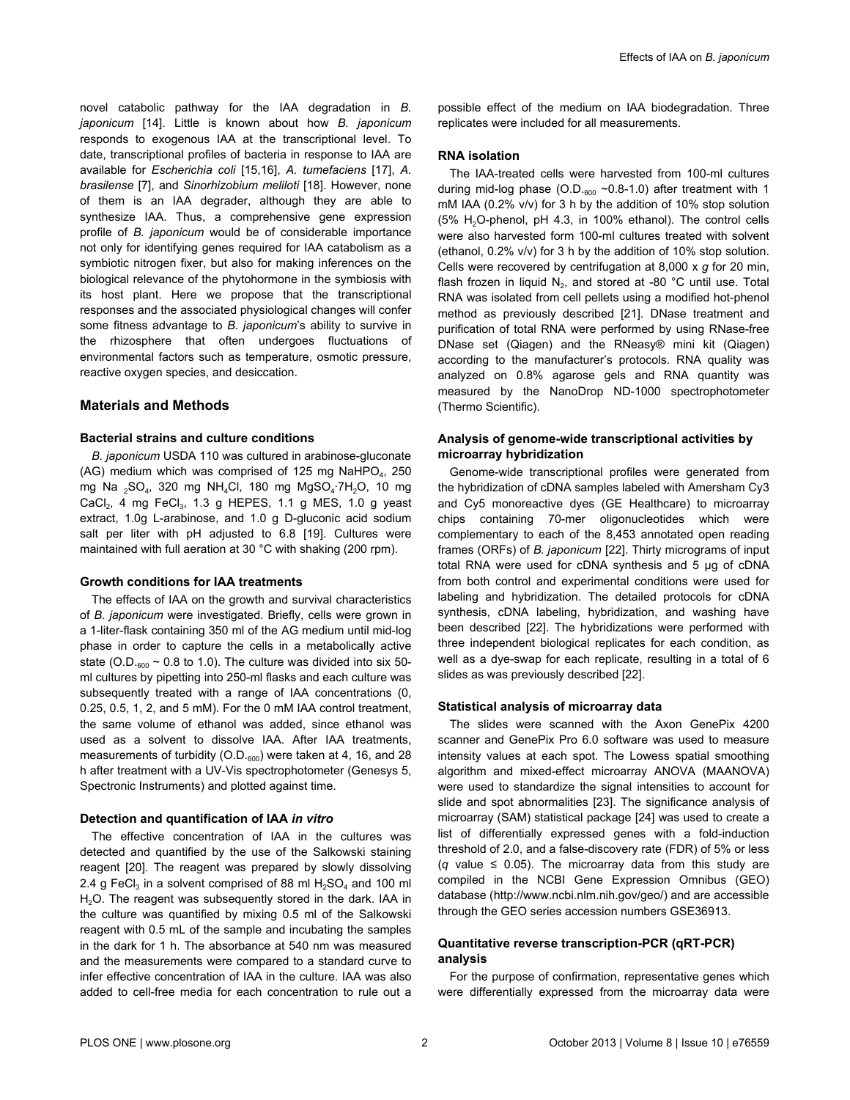novel catabolic pathway for the IAA degradation in *B. japonicum* [\[14\]](#page-9-0). Little is known about how *B. japonicum* responds to exogenous IAA at the transcriptional level. To date, transcriptional profiles of bacteria in response to IAA are available for *Escherichia coli* [\[15,16](#page-9-0)], *A. tumefaciens* [\[17\]](#page-9-0), *A. brasilense* [[7\]](#page-9-0), and *Sinorhizobium meliloti* [\[18\]](#page-9-0). However, none of them is an IAA degrader, although they are able to synthesize IAA. Thus, a comprehensive gene expression profile of *B. japonicum* would be of considerable importance not only for identifying genes required for IAA catabolism as a symbiotic nitrogen fixer, but also for making inferences on the biological relevance of the phytohormone in the symbiosis with its host plant. Here we propose that the transcriptional responses and the associated physiological changes will confer some fitness advantage to *B. japonicum*'s ability to survive in the rhizosphere that often undergoes fluctuations of environmental factors such as temperature, osmotic pressure, reactive oxygen species, and desiccation.

# **Materials and Methods**

#### **Bacterial strains and culture conditions**

*B. japonicum* USDA 110 was cultured in arabinose-gluconate (AG) medium which was comprised of 125 mg NaHPO<sub>4</sub>, 250 mg Na <sub>2</sub>SO<sub>4</sub>, 320 mg NH<sub>4</sub>Cl, 180 mg MgSO<sub>4</sub>·7H<sub>2</sub>O, 10 mg  $CaCl<sub>2</sub>$ , 4 mg FeCl<sub>3</sub>, 1.3 g HEPES, 1.1 g MES, 1.0 g yeast extract, 1.0g L-arabinose, and 1.0 g D-gluconic acid sodium salt per liter with pH adjusted to 6.8 [\[19](#page-9-0)]. Cultures were maintained with full aeration at 30 °C with shaking (200 rpm).

#### **Growth conditions for IAA treatments**

The effects of IAA on the growth and survival characteristics of *B. japonicum* were investigated. Briefly, cells were grown in a 1-liter-flask containing 350 ml of the AG medium until mid-log phase in order to capture the cells in a metabolically active state (O.D. $_{600}$  ~ 0.8 to 1.0). The culture was divided into six 50ml cultures by pipetting into 250-ml flasks and each culture was subsequently treated with a range of IAA concentrations (0, 0.25, 0.5, 1, 2, and 5 mM). For the 0 mM IAA control treatment, the same volume of ethanol was added, since ethanol was used as a solvent to dissolve IAA. After IAA treatments, measurements of turbidity  $(O.D._{600})$  were taken at 4, 16, and 28 h after treatment with a UV-Vis spectrophotometer (Genesys 5, Spectronic Instruments) and plotted against time.

### **Detection and quantification of IAA** *in vitro*

The effective concentration of IAA in the cultures was detected and quantified by the use of the Salkowski staining reagent [[20](#page-9-0)]. The reagent was prepared by slowly dissolving 2.4 g FeCl<sub>3</sub> in a solvent comprised of 88 ml  $H_2SO_4$  and 100 ml H<sub>2</sub>O. The reagent was subsequently stored in the dark. IAA in the culture was quantified by mixing 0.5 ml of the Salkowski reagent with 0.5 mL of the sample and incubating the samples in the dark for 1 h. The absorbance at 540 nm was measured and the measurements were compared to a standard curve to infer effective concentration of IAA in the culture. IAA was also added to cell-free media for each concentration to rule out a

possible effect of the medium on IAA biodegradation. Three replicates were included for all measurements.

## **RNA isolation**

The IAA-treated cells were harvested from 100-ml cultures during mid-log phase (O.D. $_{600}$  ~0.8-1.0) after treatment with 1 mM IAA (0.2% v/v) for 3 h by the addition of 10% stop solution (5% H2O-phenol, pH 4.3, in 100% ethanol). The control cells were also harvested form 100-ml cultures treated with solvent (ethanol, 0.2% v/v) for 3 h by the addition of 10% stop solution. Cells were recovered by centrifugation at 8,000 x *g* for 20 min, flash frozen in liquid  $N_2$ , and stored at -80 °C until use. Total RNA was isolated from cell pellets using a modified hot-phenol method as previously described [[21](#page-9-0)]. DNase treatment and purification of total RNA were performed by using RNase-free DNase set (Qiagen) and the RNeasy® mini kit (Qiagen) according to the manufacturer's protocols. RNA quality was analyzed on 0.8% agarose gels and RNA quantity was measured by the NanoDrop ND-1000 spectrophotometer (Thermo Scientific).

### **Analysis of genome-wide transcriptional activities by microarray hybridization**

Genome-wide transcriptional profiles were generated from the hybridization of cDNA samples labeled with Amersham Cy3 and Cy5 monoreactive dyes (GE Healthcare) to microarray chips containing 70-mer oligonucleotides which were complementary to each of the 8,453 annotated open reading frames (ORFs) of *B. japonicum* [[22](#page-9-0)]. Thirty micrograms of input total RNA were used for cDNA synthesis and 5 µg of cDNA from both control and experimental conditions were used for labeling and hybridization. The detailed protocols for cDNA synthesis, cDNA labeling, hybridization, and washing have been described [[22\]](#page-9-0). The hybridizations were performed with three independent biological replicates for each condition, as well as a dye-swap for each replicate, resulting in a total of 6 slides as was previously described [[22](#page-9-0)].

#### **Statistical analysis of microarray data**

The slides were scanned with the Axon GenePix 4200 scanner and GenePix Pro 6.0 software was used to measure intensity values at each spot. The Lowess spatial smoothing algorithm and mixed-effect microarray ANOVA (MAANOVA) were used to standardize the signal intensities to account for slide and spot abnormalities [[23](#page-9-0)]. The significance analysis of microarray (SAM) statistical package [\[24](#page-9-0)] was used to create a list of differentially expressed genes with a fold-induction threshold of 2.0, and a false-discovery rate (FDR) of 5% or less (*q* value ≤ 0.05). The microarray data from this study are compiled in the NCBI Gene Expression Omnibus (GEO) database (<http://www.ncbi.nlm.nih.gov/geo/>) and are accessible through the GEO series accession numbers GSE36913.

# **Quantitative reverse transcription-PCR (qRT-PCR) analysis**

For the purpose of confirmation, representative genes which were differentially expressed from the microarray data were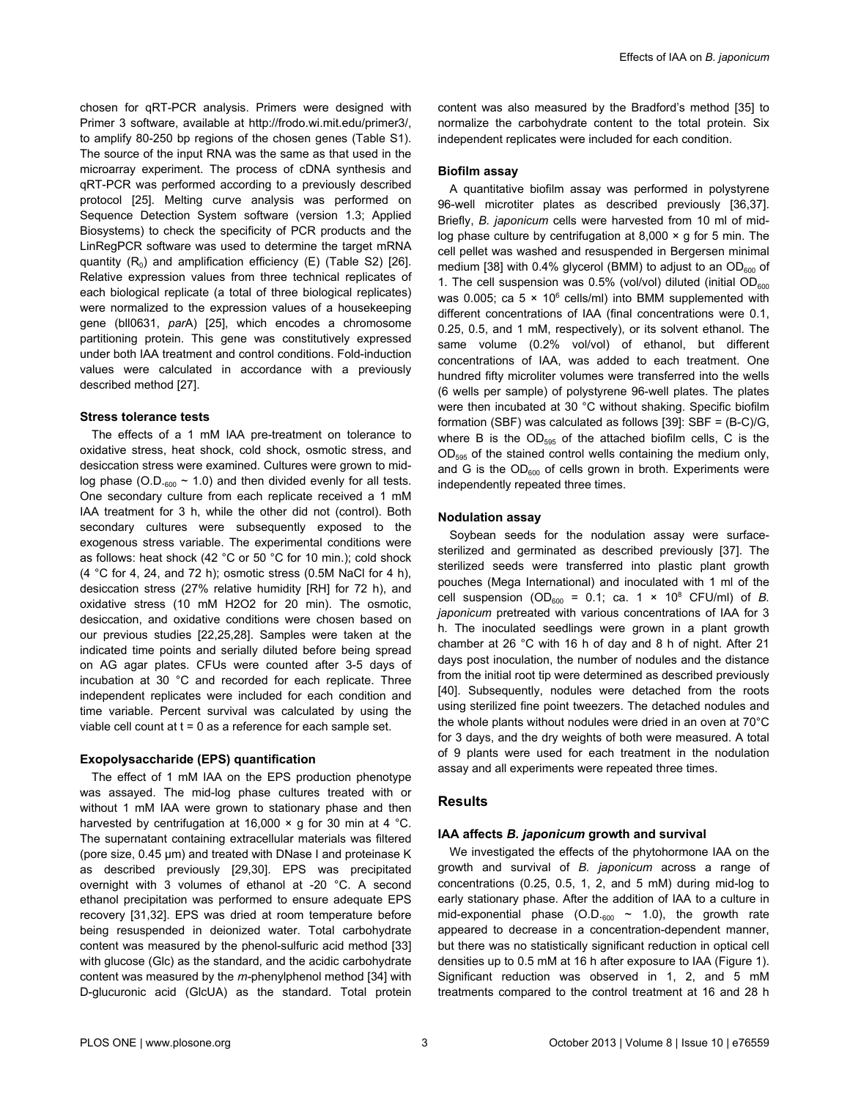chosen for qRT-PCR analysis. Primers were designed with Primer 3 software, available at <http://frodo.wi.mit.edu/primer3/>, to amplify 80-250 bp regions of the chosen genes [\(Table S1](#page-8-0)). The source of the input RNA was the same as that used in the microarray experiment. The process of cDNA synthesis and qRT-PCR was performed according to a previously described protocol [\[25\]](#page-9-0). Melting curve analysis was performed on Sequence Detection System software (version 1.3; Applied Biosystems) to check the specificity of PCR products and the LinRegPCR software was used to determine the target mRNA quantity  $(R_0)$  and amplification efficiency (E) [\(Table S2](#page-8-0)) [\[26\]](#page-9-0). Relative expression values from three technical replicates of each biological replicate (a total of three biological replicates) were normalized to the expression values of a housekeeping gene (bll0631, *par*A) [\[25\]](#page-9-0), which encodes a chromosome partitioning protein. This gene was constitutively expressed under both IAA treatment and control conditions. Fold-induction values were calculated in accordance with a previously described method [[27](#page-9-0)].

#### **Stress tolerance tests**

The effects of a 1 mM IAA pre-treatment on tolerance to oxidative stress, heat shock, cold shock, osmotic stress, and desiccation stress were examined. Cultures were grown to midlog phase (O.D. $_{600}$  ~ 1.0) and then divided evenly for all tests. One secondary culture from each replicate received a 1 mM IAA treatment for 3 h, while the other did not (control). Both secondary cultures were subsequently exposed to the exogenous stress variable. The experimental conditions were as follows: heat shock (42 °C or 50 °C for 10 min.); cold shock (4 °C for 4, 24, and 72 h); osmotic stress (0.5M NaCl for 4 h), desiccation stress (27% relative humidity [RH] for 72 h), and oxidative stress (10 mM H2O2 for 20 min). The osmotic, desiccation, and oxidative conditions were chosen based on our previous studies [[22](#page-9-0),[25](#page-9-0),[28\]](#page-9-0). Samples were taken at the indicated time points and serially diluted before being spread on AG agar plates. CFUs were counted after 3-5 days of incubation at 30 °C and recorded for each replicate. Three independent replicates were included for each condition and time variable. Percent survival was calculated by using the viable cell count at  $t = 0$  as a reference for each sample set.

#### **Exopolysaccharide (EPS) quantification**

The effect of 1 mM IAA on the EPS production phenotype was assayed. The mid-log phase cultures treated with or without 1 mM IAA were grown to stationary phase and then harvested by centrifugation at 16,000  $\times$  g for 30 min at 4 °C. The supernatant containing extracellular materials was filtered (pore size, 0.45 µm) and treated with DNase I and proteinase K as described previously [\[29,30\]](#page-9-0). EPS was precipitated overnight with 3 volumes of ethanol at -20 °C. A second ethanol precipitation was performed to ensure adequate EPS recovery [\[31,32\]](#page-9-0). EPS was dried at room temperature before being resuspended in deionized water. Total carbohydrate content was measured by the phenol-sulfuric acid method [[33](#page-9-0)] with glucose (Glc) as the standard, and the acidic carbohydrate content was measured by the *m-*phenylphenol method [\[34\]](#page-9-0) with D-glucuronic acid (GlcUA) as the standard. Total protein content was also measured by the Bradford's method [[35](#page-10-0)] to normalize the carbohydrate content to the total protein. Six independent replicates were included for each condition.

#### **Biofilm assay**

A quantitative biofilm assay was performed in polystyrene 96-well microtiter plates as described previously [\[36,37\]](#page-10-0). Briefly, *B. japonicum* cells were harvested from 10 ml of midlog phase culture by centrifugation at  $8,000 \times q$  for 5 min. The cell pellet was washed and resuspended in Bergersen minimal medium [[38](#page-10-0)] with 0.4% glycerol (BMM) to adjust to an  $OD<sub>600</sub>$  of 1. The cell suspension was  $0.5\%$  (vol/vol) diluted (initial  $OD<sub>600</sub>$ was 0.005; ca 5  $\times$  10<sup>6</sup> cells/ml) into BMM supplemented with different concentrations of IAA (final concentrations were 0.1, 0.25, 0.5, and 1 mM, respectively), or its solvent ethanol. The same volume (0.2% vol/vol) of ethanol, but different concentrations of IAA, was added to each treatment. One hundred fifty microliter volumes were transferred into the wells (6 wells per sample) of polystyrene 96-well plates. The plates were then incubated at 30 °C without shaking. Specific biofilm formation (SBF) was calculated as follows [\[39\]](#page-10-0): SBF = (B-C)/G, where B is the  $OD_{595}$  of the attached biofilm cells, C is the  $OD_{595}$  of the stained control wells containing the medium only, and G is the  $OD<sub>600</sub>$  of cells grown in broth. Experiments were independently repeated three times.

#### **Nodulation assay**

Soybean seeds for the nodulation assay were surfacesterilized and germinated as described previously [[37](#page-10-0)]. The sterilized seeds were transferred into plastic plant growth pouches (Mega International) and inoculated with 1 ml of the cell suspension  $OD_{600} = 0.1$ ; ca. 1  $\times$  10<sup>8</sup> CFU/ml) of *B*. *japonicum* pretreated with various concentrations of IAA for 3 h. The inoculated seedlings were grown in a plant growth chamber at 26 °C with 16 h of day and 8 h of night. After 21 days post inoculation, the number of nodules and the distance from the initial root tip were determined as described previously [[40](#page-10-0)]. Subsequently, nodules were detached from the roots using sterilized fine point tweezers. The detached nodules and the whole plants without nodules were dried in an oven at 70°C for 3 days, and the dry weights of both were measured. A total of 9 plants were used for each treatment in the nodulation assay and all experiments were repeated three times.

# **Results**

#### **IAA affects** *B. japonicum* **growth and survival**

We investigated the effects of the phytohormone IAA on the growth and survival of *B. japonicum* across a range of concentrations (0.25, 0.5, 1, 2, and 5 mM) during mid-log to early stationary phase. After the addition of IAA to a culture in mid-exponential phase  $(O.D_{.600} \sim 1.0)$ , the growth rate appeared to decrease in a concentration-dependent manner, but there was no statistically significant reduction in optical cell densities up to 0.5 mM at 16 h after exposure to IAA ([Figure 1](#page-3-0)). Significant reduction was observed in 1, 2, and 5 mM treatments compared to the control treatment at 16 and 28 h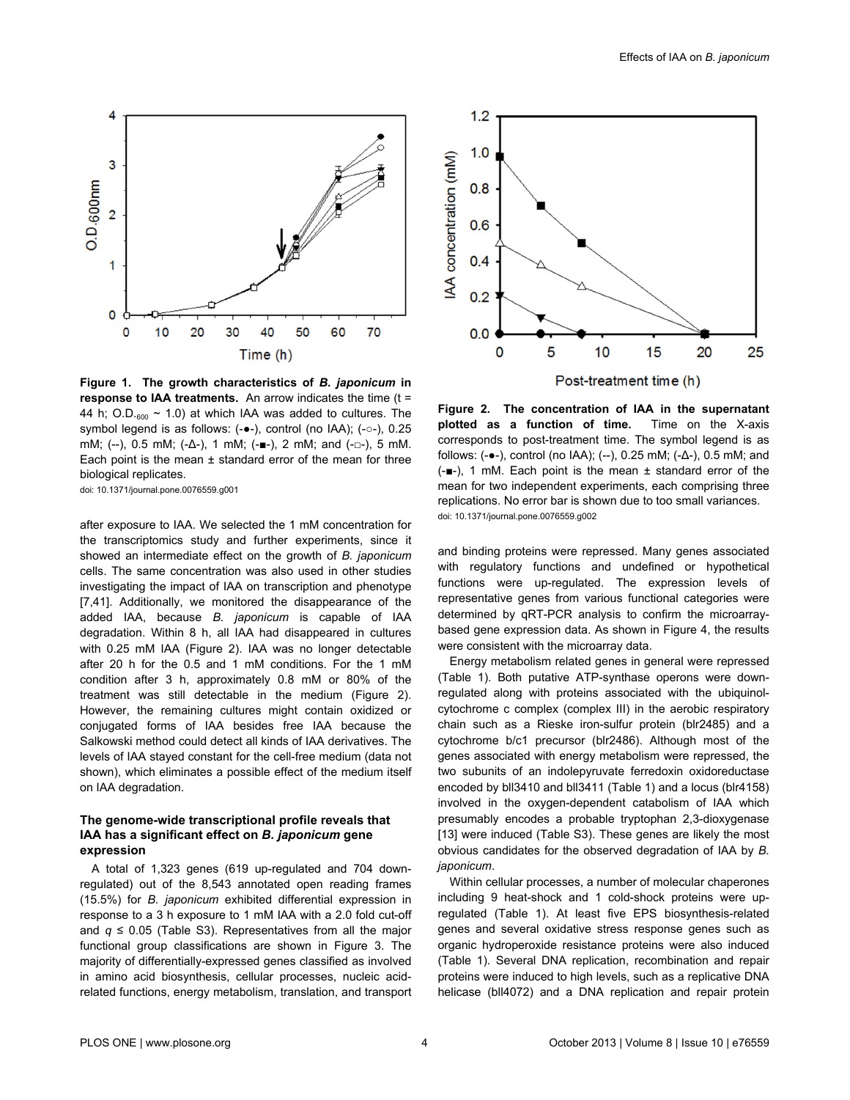<span id="page-3-0"></span>

**Figure 1. The growth characteristics of** *B. japonicum* **in response to IAA treatments.** An arrow indicates the time (t = 44 h; O.D. $_{600}$  ~ 1.0) at which IAA was added to cultures. The symbol legend is as follows: (-•-), control (no IAA); (-○-), 0.25 mM; (--), 0.5 mM; (-Δ-), 1 mM; (-■-), 2 mM; and (-□-), 5 mM. Each point is the mean  $\pm$  standard error of the mean for three biological replicates.

doi: 10.1371/journal.pone.0076559.g001

after exposure to IAA. We selected the 1 mM concentration for the transcriptomics study and further experiments, since it showed an intermediate effect on the growth of *B. japonicum* cells. The same concentration was also used in other studies investigating the impact of IAA on transcription and phenotype [[7,](#page-9-0)[41\]](#page-10-0). Additionally, we monitored the disappearance of the added IAA, because *B. japonicum* is capable of IAA degradation. Within 8 h, all IAA had disappeared in cultures with 0.25 mM IAA (Figure 2). IAA was no longer detectable after 20 h for the 0.5 and 1 mM conditions. For the 1 mM condition after 3 h, approximately 0.8 mM or 80% of the treatment was still detectable in the medium (Figure 2). However, the remaining cultures might contain oxidized or conjugated forms of IAA besides free IAA because the Salkowski method could detect all kinds of IAA derivatives. The levels of IAA stayed constant for the cell-free medium (data not shown), which eliminates a possible effect of the medium itself on IAA degradation.

# **The genome-wide transcriptional profile reveals that IAA has a significant effect on** *B. japonicum* **gene expression**

A total of 1,323 genes (619 up-regulated and 704 downregulated) out of the 8,543 annotated open reading frames (15.5%) for *B. japonicum* exhibited differential expression in response to a 3 h exposure to 1 mM IAA with a 2.0 fold cut-off and  $q \le 0.05$  [\(Table S3\)](#page-8-0). Representatives from all the major functional group classifications are shown in [Figure 3.](#page-4-0) The majority of differentially-expressed genes classified as involved in amino acid biosynthesis, cellular processes, nucleic acidrelated functions, energy metabolism, translation, and transport



**Figure 2. The concentration of IAA in the supernatant plotted as a function of time.** Time on the X-axis corresponds to post-treatment time. The symbol legend is as follows: (-●-), control (no IAA); (--), 0.25 mM; (-Δ-), 0.5 mM; and (-■-), 1 mM. Each point is the mean ± standard error of the mean for two independent experiments, each comprising three replications. No error bar is shown due to too small variances. doi: 10.1371/journal.pone.0076559.g002

and binding proteins were repressed. Many genes associated with regulatory functions and undefined or hypothetical functions were up-regulated. The expression levels of representative genes from various functional categories were determined by qRT-PCR analysis to confirm the microarraybased gene expression data. As shown in [Figure 4,](#page-4-0) the results were consistent with the microarray data.

Energy metabolism related genes in general were repressed [\(Table 1\)](#page-4-0). Both putative ATP-synthase operons were downregulated along with proteins associated with the ubiquinolcytochrome c complex (complex III) in the aerobic respiratory chain such as a Rieske iron-sulfur protein (blr2485) and a cytochrome b/c1 precursor (blr2486). Although most of the genes associated with energy metabolism were repressed, the two subunits of an indolepyruvate ferredoxin oxidoreductase encoded by bll3410 and bll3411 ([Table 1](#page-4-0)) and a locus (blr4158) involved in the oxygen-dependent catabolism of IAA which presumably encodes a probable tryptophan 2,3-dioxygenase [[13](#page-9-0)] were induced [\(Table S3\)](#page-8-0). These genes are likely the most obvious candidates for the observed degradation of IAA by *B. japonicum*.

Within cellular processes, a number of molecular chaperones including 9 heat-shock and 1 cold-shock proteins were upregulated [\(Table 1\)](#page-4-0). At least five EPS biosynthesis-related genes and several oxidative stress response genes such as organic hydroperoxide resistance proteins were also induced [\(Table 1](#page-4-0)). Several DNA replication, recombination and repair proteins were induced to high levels, such as a replicative DNA helicase (bll4072) and a DNA replication and repair protein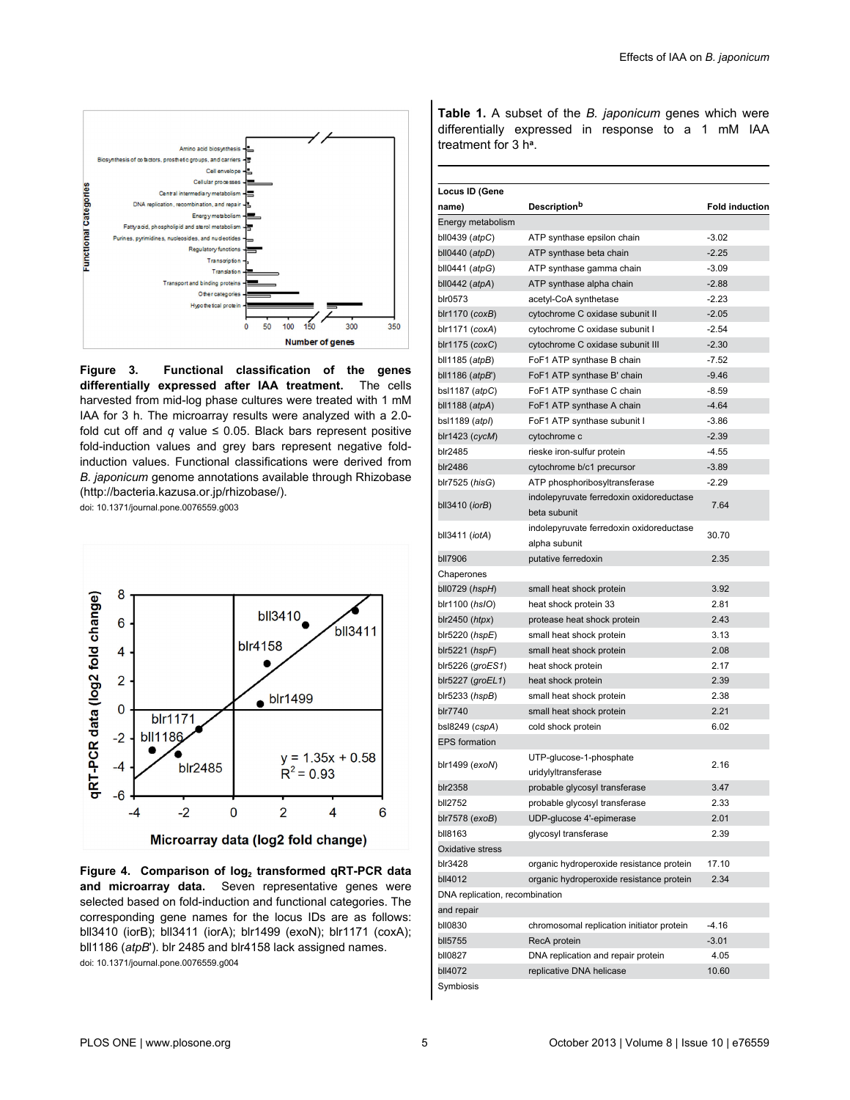<span id="page-4-0"></span>

**Figure 3. Functional classification of the genes differentially expressed after IAA treatment.** The cells harvested from mid-log phase cultures were treated with 1 mM IAA for 3 h. The microarray results were analyzed with a 2.0 fold cut off and  $q$  value  $\leq$  0.05. Black bars represent positive fold-induction values and grey bars represent negative foldinduction values. Functional classifications were derived from *B. japonicum* genome annotations available through Rhizobase [\(http://bacteria.kazusa.or.jp/rhizobase/\)](http://bacteria.kazusa.or.jp/rhizobase/).

doi: 10.1371/journal.pone.0076559.g003



**Figure 4. Comparison of log<sup>2</sup> transformed qRT-PCR data and microarray data.** Seven representative genes were selected based on fold-induction and functional categories. The corresponding gene names for the locus IDs are as follows: bll3410 (iorB); bll3411 (iorA); blr1499 (exoN); blr1171 (coxA); bll1186 (*atpB*'). blr 2485 and blr4158 lack assigned names. doi: 10.1371/journal.pone.0076559.g004

**Table 1.** A subset of the *B. japonicum* genes which were differentially expressed in response to a 1 mM IAA treatment for 3 h**[a](#page-5-0)** .

| Locus ID (Gene                 |                                                          |                       |
|--------------------------------|----------------------------------------------------------|-----------------------|
| name)                          | <b>Description</b> <sup>b</sup>                          | <b>Fold induction</b> |
| Energy metabolism              |                                                          |                       |
| bll0439 $(atpC)$               | ATP synthase epsilon chain                               | $-3.02$               |
| bll0440 $(\text{atpD})$        | ATP synthase beta chain                                  | $-2.25$               |
| bll0441 $(atpG)$               | ATP synthase gamma chain                                 | $-3.09$               |
| bll0442 $(atpA)$               | ATP synthase alpha chain                                 | $-2.88$               |
| blr0573                        | acetyl-CoA synthetase                                    | $-2.23$               |
| $b$ Ir1170 (cox $B$ )          | cytochrome C oxidase subunit II                          | $-2.05$               |
| blr1171 (coxA)                 | cytochrome C oxidase subunit I                           | $-2.54$               |
| blr1175 (coxC)                 | cytochrome C oxidase subunit III                         | $-2.30$               |
| bll1185 $(atpB)$               | FoF1 ATP synthase B chain                                | $-7.52$               |
| bll1186 $(atpB')$              | FoF1 ATP synthase B' chain                               | $-9.46$               |
| bsl1187 (atpC)                 | FoF1 ATP synthase C chain                                | $-8.59$               |
| bll1188 $(atpA)$               | FoF1 ATP synthase A chain                                | $-4.64$               |
|                                |                                                          | $-3.86$               |
| bsl1189 (atpl)                 | FoF1 ATP synthase subunit I                              | $-2.39$               |
| $b$ Ir1423 (cycM)              | cytochrome c                                             |                       |
| blr2485                        | rieske iron-sulfur protein                               | $-4.55$               |
| blr2486                        | cytochrome b/c1 precursor                                | $-3.89$               |
| blr7525 (hisG)                 | ATP phosphoribosyltransferase                            | $-2.29$               |
| bll $3410$ ( <i>iorB</i> )     | indolepyruvate ferredoxin oxidoreductase<br>beta subunit | 7.64                  |
|                                | indolepyruvate ferredoxin oxidoreductase                 |                       |
| bll $3411$ ( <i>iotA</i> )     | alpha subunit                                            | 30.70                 |
| bll7906                        | putative ferredoxin                                      | 2.35                  |
| Chaperones                     |                                                          |                       |
| $b10729$ ( $hspH$ )            | small heat shock protein                                 | 3.92                  |
| blr1100 (hsIO)                 | heat shock protein 33                                    | 2.81                  |
| $blr2450$ ( <i>htpx</i> )      | protease heat shock protein                              | 2.43                  |
| $b$ Ir5220 ( $hspE$ )          | small heat shock protein                                 | 3.13                  |
| $b$ Ir5221 ( $h$ spF)          | small heat shock protein                                 | 2.08                  |
| blr5226 (groES1)               | heat shock protein                                       | 2.17                  |
| blr5227 ( $groEL1$ )           | heat shock protein                                       | 2.39                  |
| $b$ lr5233 ( $h$ sp $B$ )      | small heat shock protein                                 | 2.38                  |
| blr7740                        | small heat shock protein                                 | 2.21                  |
| bsl8249 (cspA)                 | cold shock protein                                       | 6.02                  |
| <b>EPS</b> formation           |                                                          |                       |
|                                | UTP-glucose-1-phosphate                                  | 2.16                  |
| blr1499 (exoN)                 | uridylyltransferase                                      |                       |
| blr2358                        | probable glycosyl transferase                            | 3.47                  |
| bll2752                        | probable glycosyl transferase                            | 2.33                  |
| blr7578 (exoB)                 | UDP-glucose 4'-epimerase                                 | 2.01                  |
| bll8163                        | glycosyl transferase                                     | 2.39                  |
| Oxidative stress               |                                                          |                       |
| blr3428                        | organic hydroperoxide resistance protein                 | 17.10                 |
| bll4012                        | organic hydroperoxide resistance protein                 | 2.34                  |
| DNA replication, recombination |                                                          |                       |
| and repair                     |                                                          |                       |
| bll0830                        | chromosomal replication initiator protein                | $-4.16$               |
| bll5755                        | RecA protein                                             | $-3.01$               |
| bll0827                        | DNA replication and repair protein                       | 4.05                  |
| bll4072                        | replicative DNA helicase                                 | 10.60                 |
| Symbiosis                      |                                                          |                       |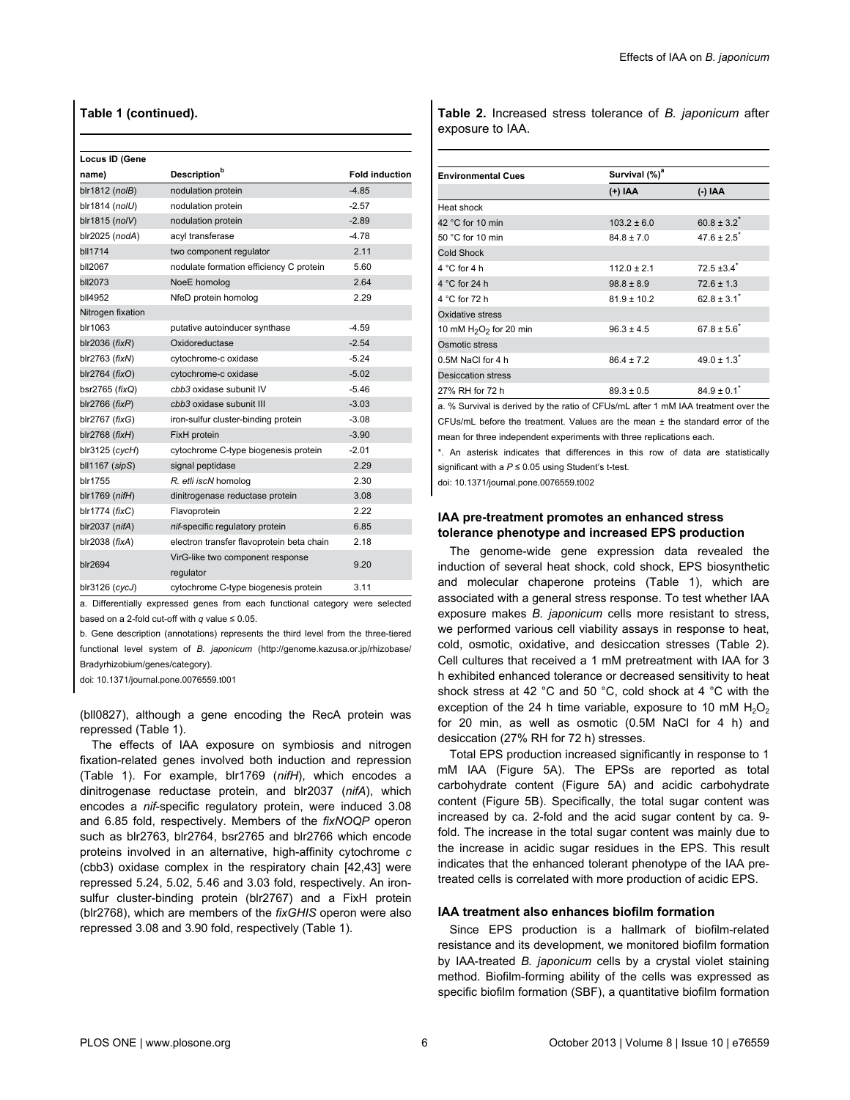# <span id="page-5-0"></span>**Table 1 (continued).**

| Locus ID (Gene       |                                           |                       |
|----------------------|-------------------------------------------|-----------------------|
| name)                | <b>Description</b> b                      | <b>Fold induction</b> |
| blr1812 (nolB)       | nodulation protein                        | $-4.85$               |
| blr1814 (nolU)       | nodulation protein                        | $-2.57$               |
| blr1815 (no/V)       | nodulation protein                        | $-2.89$               |
| blr2025 (nodA)       | acyl transferase                          | $-478$                |
| bll1714              | two component regulator                   | 2.11                  |
| <b>bll2067</b>       | nodulate formation efficiency C protein   | 5.60                  |
| bll2073              | NoeE homolog                              | 2.64                  |
| bll4952              | NfeD protein homolog                      | 2.29                  |
| Nitrogen fixation    |                                           |                       |
| blr1063              | putative autoinducer synthase             | $-4.59$               |
| blr2036 ( $fixR$ )   | Oxidoreductase                            | $-2.54$               |
| blr2763 (fixN)       | cytochrome-c oxidase                      | $-5.24$               |
| blr2764 (fixO)       | cytochrome-c oxidase                      | $-5.02$               |
| bsr2765 ( $fixQ$ )   | cbb3 oxidase subunit IV                   | $-546$                |
| $bIr2766$ ( $fixP$ ) | cbb3 oxidase subunit III                  | $-3.03$               |
| $blr2767$ ( $fixG$ ) | iron-sulfur cluster-binding protein       | $-3.08$               |
| blr2768 ( $fixH$ )   | FixH protein                              | $-3.90$               |
| $bIr3125$ ( $cycH$ ) | cytochrome C-type biogenesis protein      | $-201$                |
| bll1167 (sipS)       | signal peptidase                          | 2.29                  |
| blr1755              | R. etli iscN homolog                      | 2.30                  |
| $blr1769$ ( $nifH$ ) | dinitrogenase reductase protein           | 3.08                  |
| blr1774 (fixC)       | Flavoprotein                              | 2.22                  |
| blr2037 (nifA)       | nif-specific regulatory protein           | 6.85                  |
| blr2038 (fixA)       | electron transfer flavoprotein beta chain | 2.18                  |
|                      | VirG-like two component response          | 9.20                  |
| blr2694              | regulator                                 |                       |
| blr3126 (cycJ)       | cytochrome C-type biogenesis protein      | 3.11                  |

a. Differentially expressed genes from each functional category were selected based on a 2-fold cut-off with *q* value ≤ 0.05.

b. Gene description (annotations) represents the third level from the three-tiered functional level system of *B. japonicum* [\(http://genome.kazusa.or.jp/rhizobase/](http://genome.kazusa.or.jp/rhizobase/Bradyrhizobium/genes/category) [Bradyrhizobium/genes/category](http://genome.kazusa.or.jp/rhizobase/Bradyrhizobium/genes/category)).

doi: 10.1371/journal.pone.0076559.t001

(bll0827), although a gene encoding the RecA protein was repressed ([Table 1\)](#page-4-0).

The effects of IAA exposure on symbiosis and nitrogen fixation-related genes involved both induction and repression [\(Table 1](#page-4-0)). For example, blr1769 (*nifH*), which encodes a dinitrogenase reductase protein, and blr2037 (*nifA*), which encodes a *nif*-specific regulatory protein, were induced 3.08 and 6.85 fold, respectively. Members of the *fixNOQP* operon such as blr2763, blr2764, bsr2765 and blr2766 which encode proteins involved in an alternative, high-affinity cytochrome *c* (cbb3) oxidase complex in the respiratory chain [[42,43\]](#page-10-0) were repressed 5.24, 5.02, 5.46 and 3.03 fold, respectively. An ironsulfur cluster-binding protein (blr2767) and a FixH protein (blr2768), which are members of the *fixGHIS* operon were also repressed 3.08 and 3.90 fold, respectively ([Table 1\)](#page-4-0).

**Table 2.** Increased stress tolerance of *B. japonicum* after exposure to IAA.

| <b>Environmental Cues</b> | Survival (%) <sup>a</sup> |                             |
|---------------------------|---------------------------|-----------------------------|
|                           | (+) IAA                   | (-) IAA                     |
| Heat shock                |                           |                             |
| 42 °C for 10 min          | $103.2 \pm 6.0$           | $60.8 \pm 3.2^*$            |
| 50 °C for 10 min          | $84.8 \pm 7.0$            | $47.6 \pm 2.5$ <sup>*</sup> |
| <b>Cold Shock</b>         |                           |                             |
| $4^{\circ}$ C for 4 h     | $112.0 \pm 2.1$           | $72.5 + 3.4$ <sup>*</sup>   |
| 4 °C for 24 h             | $98.8 \pm 8.9$            | $72.6 \pm 1.3$              |
| 4 °C for 72 h             | $81.9 \pm 10.2$           | $62.8 \pm 3.1^*$            |
| Oxidative stress          |                           |                             |
| 10 mM $H_2O_2$ for 20 min | $96.3 \pm 4.5$            | $67.8 \pm 5.6^*$            |
| Osmotic stress            |                           |                             |
| 0.5M NaCl for 4 h         | $86.4 \pm 7.2$            | $49.0 \pm 1.3$ <sup>*</sup> |
| <b>Desiccation stress</b> |                           |                             |
| 27% RH for 72 h           | $89.3 \pm 0.5$            | $84.9 \pm 0.1^*$            |

a. % Survival is derived by the ratio of CFUs/mL after 1 mM IAA treatment over the CFUs/mL before the treatment. Values are the mean ± the standard error of the mean for three independent experiments with three replications each.

\*. An asterisk indicates that differences in this row of data are statistically

significant with a *P* ≤ 0.05 using Student's t-test.

doi: 10.1371/journal.pone.0076559.t002

# **IAA pre-treatment promotes an enhanced stress tolerance phenotype and increased EPS production**

The genome-wide gene expression data revealed the induction of several heat shock, cold shock, EPS biosynthetic and molecular chaperone proteins ([Table 1](#page-4-0)), which are associated with a general stress response. To test whether IAA exposure makes *B. japonicum* cells more resistant to stress, we performed various cell viability assays in response to heat, cold, osmotic, oxidative, and desiccation stresses (Table 2). Cell cultures that received a 1 mM pretreatment with IAA for 3 h exhibited enhanced tolerance or decreased sensitivity to heat shock stress at 42 °C and 50 °C, cold shock at 4 °C with the exception of the 24 h time variable, exposure to 10 mM  $H_2O_2$ for 20 min, as well as osmotic (0.5M NaCl for 4 h) and desiccation (27% RH for 72 h) stresses.

Total EPS production increased significantly in response to 1 mM IAA [\(Figure 5A\)](#page-6-0). The EPSs are reported as total carbohydrate content ([Figure 5A](#page-6-0)) and acidic carbohydrate content [\(Figure 5B\)](#page-6-0). Specifically, the total sugar content was increased by ca. 2-fold and the acid sugar content by ca. 9 fold. The increase in the total sugar content was mainly due to the increase in acidic sugar residues in the EPS. This result indicates that the enhanced tolerant phenotype of the IAA pretreated cells is correlated with more production of acidic EPS.

#### **IAA treatment also enhances biofilm formation**

Since EPS production is a hallmark of biofilm-related resistance and its development, we monitored biofilm formation by IAA-treated *B. japonicum* cells by a crystal violet staining method. Biofilm-forming ability of the cells was expressed as specific biofilm formation (SBF), a quantitative biofilm formation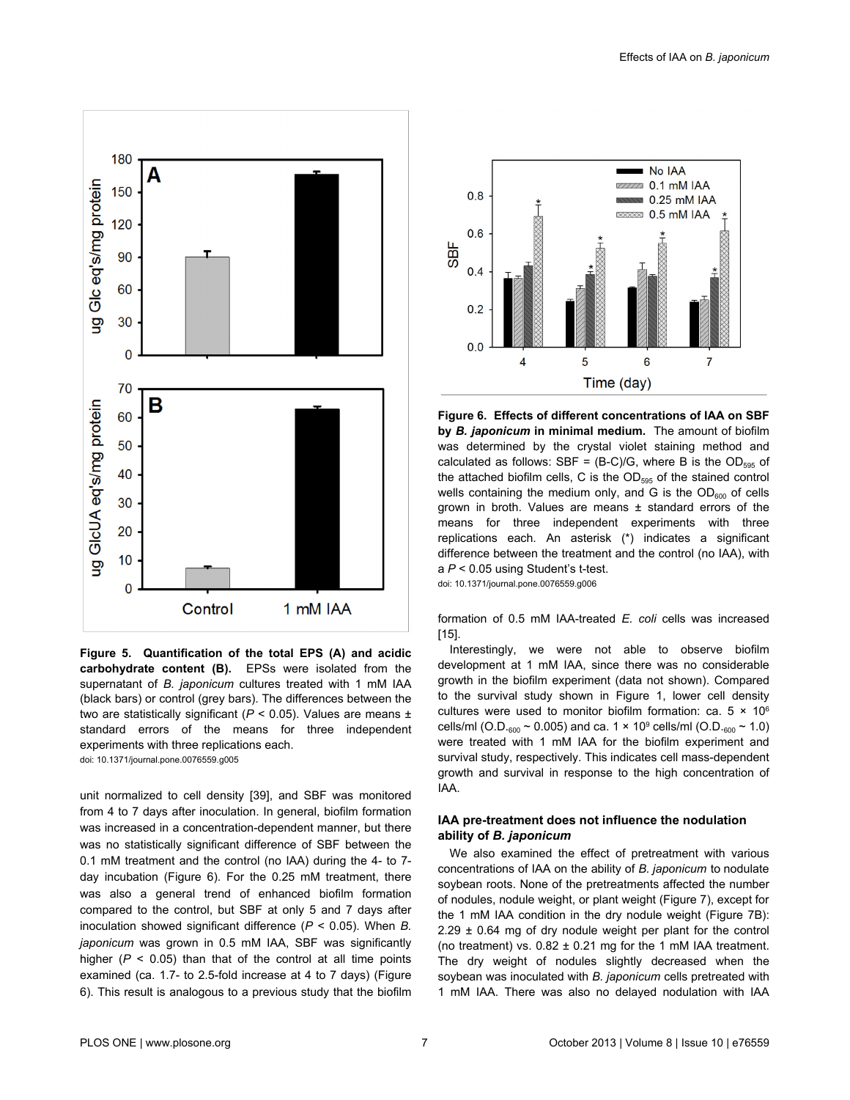<span id="page-6-0"></span>

**Figure 5. Quantification of the total EPS (A) and acidic carbohydrate content (B).** EPSs were isolated from the supernatant of *B. japonicum* cultures treated with 1 mM IAA (black bars) or control (grey bars). The differences between the two are statistically significant ( $P < 0.05$ ). Values are means  $\pm$ standard errors of the means for three independent experiments with three replications each.

doi: 10.1371/journal.pone.0076559.g005

unit normalized to cell density [\[39\]](#page-10-0), and SBF was monitored from 4 to 7 days after inoculation. In general, biofilm formation was increased in a concentration-dependent manner, but there was no statistically significant difference of SBF between the 0.1 mM treatment and the control (no IAA) during the 4- to 7 day incubation (Figure 6). For the 0.25 mM treatment, there was also a general trend of enhanced biofilm formation compared to the control, but SBF at only 5 and 7 days after inoculation showed significant difference (*P* < 0.05). When *B. japonicum* was grown in 0.5 mM IAA, SBF was significantly higher  $(P < 0.05)$  than that of the control at all time points examined (ca. 1.7- to 2.5-fold increase at 4 to 7 days) (Figure 6). This result is analogous to a previous study that the biofilm



**Figure 6. Effects of different concentrations of IAA on SBF by** *B. japonicum* **in minimal medium.** The amount of biofilm was determined by the crystal violet staining method and calculated as follows: SBF =  $(B-C)/G$ , where B is the OD<sub>595</sub> of the attached biofilm cells, C is the  $OD<sub>595</sub>$  of the stained control wells containing the medium only, and G is the  $OD<sub>600</sub>$  of cells grown in broth. Values are means ± standard errors of the means for three independent experiments with three replications each. An asterisk (\*) indicates a significant difference between the treatment and the control (no IAA), with a *P* < 0.05 using Student's t-test.

doi: 10.1371/journal.pone.0076559.g006

formation of 0.5 mM IAA-treated *E. coli* cells was increased [[15](#page-9-0)].

Interestingly, we were not able to observe biofilm development at 1 mM IAA, since there was no considerable growth in the biofilm experiment (data not shown). Compared to the survival study shown in [Figure 1](#page-3-0), lower cell density cultures were used to monitor biofilm formation: ca.  $5 \times 10^6$ cells/ml (O.D. $_{600}$  ~ 0.005) and ca. 1 × 10<sup>9</sup> cells/ml (O.D. $_{600}$  ~ 1.0) were treated with 1 mM IAA for the biofilm experiment and survival study, respectively. This indicates cell mass-dependent growth and survival in response to the high concentration of IAA.

# **IAA pre-treatment does not influence the nodulation ability of** *B. japonicum*

We also examined the effect of pretreatment with various concentrations of IAA on the ability of *B. japonicum* to nodulate soybean roots. None of the pretreatments affected the number of nodules, nodule weight, or plant weight ([Figure 7](#page-7-0)), except for the 1 mM IAA condition in the dry nodule weight [\(Figure 7B](#page-7-0)):  $2.29 \pm 0.64$  mg of dry nodule weight per plant for the control (no treatment) vs.  $0.82 \pm 0.21$  mg for the 1 mM IAA treatment. The dry weight of nodules slightly decreased when the soybean was inoculated with *B. japonicum* cells pretreated with 1 mM IAA. There was also no delayed nodulation with IAA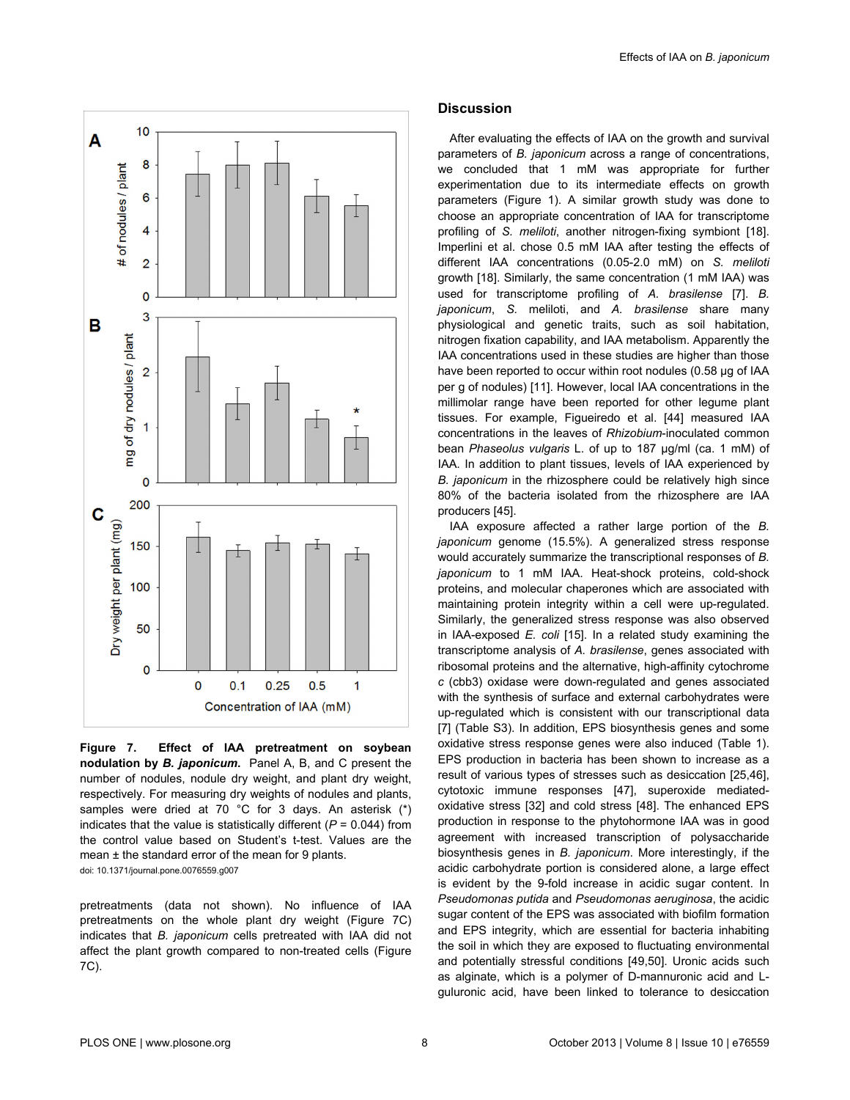<span id="page-7-0"></span>

**Figure 7. Effect of IAA pretreatment on soybean nodulation by** *B. japonicum***.** Panel A, B, and C present the number of nodules, nodule dry weight, and plant dry weight, respectively. For measuring dry weights of nodules and plants, samples were dried at 70 °C for 3 days. An asterisk (\*) indicates that the value is statistically different  $(P = 0.044)$  from the control value based on Student's t-test. Values are the mean  $\pm$  the standard error of the mean for 9 plants. doi: 10.1371/journal.pone.0076559.g007

pretreatments (data not shown). No influence of IAA pretreatments on the whole plant dry weight (Figure 7C) indicates that *B. japonicum* cells pretreated with IAA did not affect the plant growth compared to non-treated cells (Figure 7C).

# **Discussion**

After evaluating the effects of IAA on the growth and survival parameters of *B. japonicum* across a range of concentrations, we concluded that 1 mM was appropriate for further experimentation due to its intermediate effects on growth parameters ([Figure 1](#page-3-0)). A similar growth study was done to choose an appropriate concentration of IAA for transcriptome profiling of *S. meliloti*, another nitrogen-fixing symbiont [\[18\]](#page-9-0). Imperlini et al. chose 0.5 mM IAA after testing the effects of different IAA concentrations (0.05-2.0 mM) on *S. meliloti* growth [\[18\]](#page-9-0). Similarly, the same concentration (1 mM IAA) was used for transcriptome profiling of *A. brasilense* [[7\]](#page-9-0). *B. japonicum*, *S.* meliloti, and *A. brasilense* share many physiological and genetic traits, such as soil habitation, nitrogen fixation capability, and IAA metabolism. Apparently the IAA concentrations used in these studies are higher than those have been reported to occur within root nodules (0.58 µg of IAA per g of nodules) [[11\]](#page-9-0). However, local IAA concentrations in the millimolar range have been reported for other legume plant tissues. For example, Figueiredo et al. [[44](#page-10-0)] measured IAA concentrations in the leaves of *Rhizobium*-inoculated common bean *Phaseolus vulgaris* L. of up to 187 µg/ml (ca. 1 mM) of IAA. In addition to plant tissues, levels of IAA experienced by *B. japonicum* in the rhizosphere could be relatively high since 80% of the bacteria isolated from the rhizosphere are IAA producers [\[45](#page-10-0)].

IAA exposure affected a rather large portion of the *B. japonicum* genome (15.5%). A generalized stress response would accurately summarize the transcriptional responses of *B. japonicum* to 1 mM IAA. Heat-shock proteins, cold-shock proteins, and molecular chaperones which are associated with maintaining protein integrity within a cell were up-regulated. Similarly, the generalized stress response was also observed in IAA-exposed *E. coli* [[15](#page-9-0)]. In a related study examining the transcriptome analysis of *A. brasilense*, genes associated with ribosomal proteins and the alternative, high-affinity cytochrome *c* (cbb3) oxidase were down-regulated and genes associated with the synthesis of surface and external carbohydrates were up-regulated which is consistent with our transcriptional data [[7\]](#page-9-0) ([Table S3\)](#page-8-0). In addition, EPS biosynthesis genes and some oxidative stress response genes were also induced ([Table 1](#page-4-0)). EPS production in bacteria has been shown to increase as a result of various types of stresses such as desiccation [\[25](#page-9-0)[,46\]](#page-10-0), cytotoxic immune responses [[47](#page-10-0)], superoxide mediatedoxidative stress [[32](#page-9-0)] and cold stress [\[48\]](#page-10-0). The enhanced EPS production in response to the phytohormone IAA was in good agreement with increased transcription of polysaccharide biosynthesis genes in *B. japonicum*. More interestingly, if the acidic carbohydrate portion is considered alone, a large effect is evident by the 9-fold increase in acidic sugar content. In *Pseudomonas putida* and *Pseudomonas aeruginosa*, the acidic sugar content of the EPS was associated with biofilm formation and EPS integrity, which are essential for bacteria inhabiting the soil in which they are exposed to fluctuating environmental and potentially stressful conditions [[49](#page-10-0),[50](#page-10-0)]. Uronic acids such as alginate, which is a polymer of D-mannuronic acid and Lguluronic acid, have been linked to tolerance to desiccation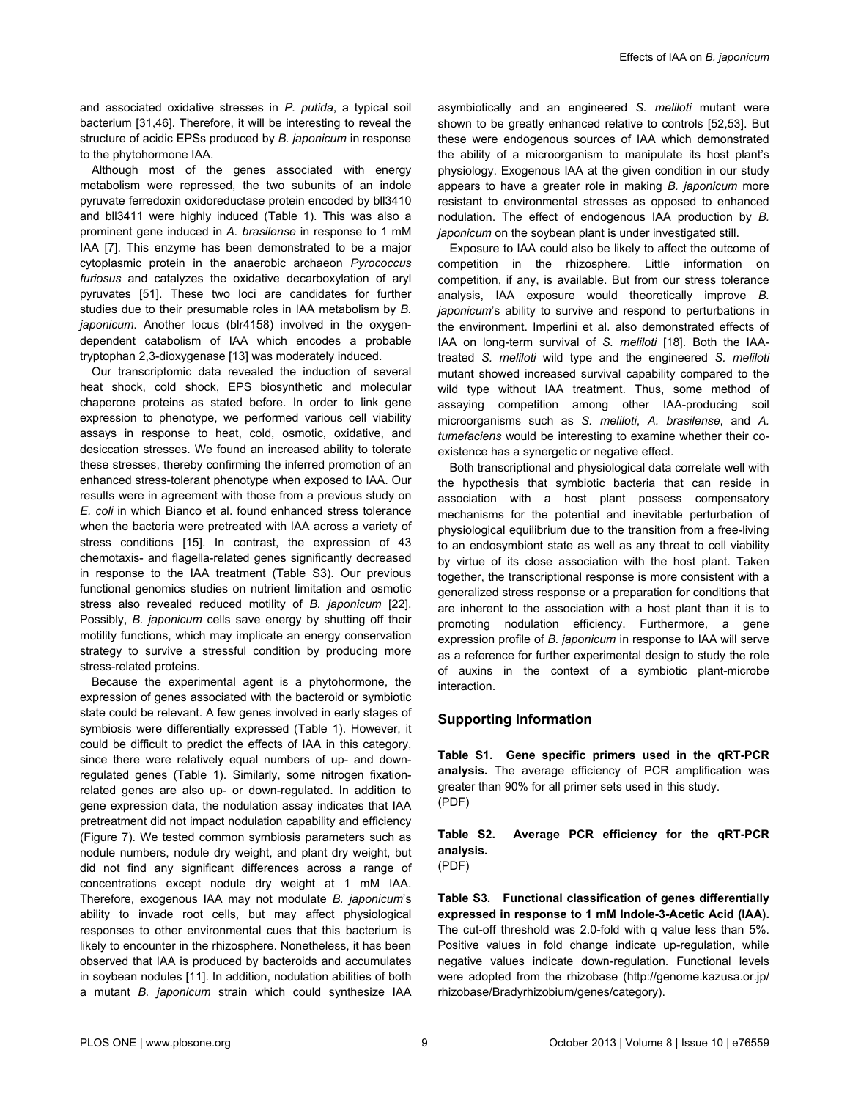<span id="page-8-0"></span>and associated oxidative stresses in *P. putida*, a typical soil bacterium [\[31,](#page-9-0)[46\]](#page-10-0). Therefore, it will be interesting to reveal the structure of acidic EPSs produced by *B. japonicum* in response to the phytohormone IAA.

Although most of the genes associated with energy metabolism were repressed, the two subunits of an indole pyruvate ferredoxin oxidoreductase protein encoded by bll3410 and bll3411 were highly induced [\(Table 1](#page-4-0)). This was also a prominent gene induced in *A. brasilense* in response to 1 mM IAA [[7](#page-9-0)]. This enzyme has been demonstrated to be a major cytoplasmic protein in the anaerobic archaeon *Pyrococcus furiosus* and catalyzes the oxidative decarboxylation of aryl pyruvates [[51](#page-10-0)]. These two loci are candidates for further studies due to their presumable roles in IAA metabolism by *B. japonicum*. Another locus (blr4158) involved in the oxygendependent catabolism of IAA which encodes a probable tryptophan 2,3-dioxygenase [\[13\]](#page-9-0) was moderately induced.

Our transcriptomic data revealed the induction of several heat shock, cold shock, EPS biosynthetic and molecular chaperone proteins as stated before. In order to link gene expression to phenotype, we performed various cell viability assays in response to heat, cold, osmotic, oxidative, and desiccation stresses. We found an increased ability to tolerate these stresses, thereby confirming the inferred promotion of an enhanced stress-tolerant phenotype when exposed to IAA. Our results were in agreement with those from a previous study on *E. coli* in which Bianco et al. found enhanced stress tolerance when the bacteria were pretreated with IAA across a variety of stress conditions [[15](#page-9-0)]. In contrast, the expression of 43 chemotaxis- and flagella-related genes significantly decreased in response to the IAA treatment (Table S3). Our previous functional genomics studies on nutrient limitation and osmotic stress also revealed reduced motility of *B. japonicum* [\[22\]](#page-9-0). Possibly, *B. japonicum* cells save energy by shutting off their motility functions, which may implicate an energy conservation strategy to survive a stressful condition by producing more stress-related proteins.

Because the experimental agent is a phytohormone, the expression of genes associated with the bacteroid or symbiotic state could be relevant. A few genes involved in early stages of symbiosis were differentially expressed ([Table 1](#page-4-0)). However, it could be difficult to predict the effects of IAA in this category, since there were relatively equal numbers of up- and downregulated genes ([Table 1](#page-4-0)). Similarly, some nitrogen fixationrelated genes are also up- or down-regulated. In addition to gene expression data, the nodulation assay indicates that IAA pretreatment did not impact nodulation capability and efficiency [\(Figure 7\)](#page-7-0). We tested common symbiosis parameters such as nodule numbers, nodule dry weight, and plant dry weight, but did not find any significant differences across a range of concentrations except nodule dry weight at 1 mM IAA. Therefore, exogenous IAA may not modulate *B. japonicum*'s ability to invade root cells, but may affect physiological responses to other environmental cues that this bacterium is likely to encounter in the rhizosphere. Nonetheless, it has been observed that IAA is produced by bacteroids and accumulates in soybean nodules [\[11\]](#page-9-0). In addition, nodulation abilities of both a mutant *B. japonicum* strain which could synthesize IAA

asymbiotically and an engineered *S. meliloti* mutant were shown to be greatly enhanced relative to controls [\[52,53\]](#page-10-0). But these were endogenous sources of IAA which demonstrated the ability of a microorganism to manipulate its host plant's physiology. Exogenous IAA at the given condition in our study appears to have a greater role in making *B. japonicum* more resistant to environmental stresses as opposed to enhanced nodulation. The effect of endogenous IAA production by *B. japonicum* on the soybean plant is under investigated still.

Exposure to IAA could also be likely to affect the outcome of competition in the rhizosphere. Little information on competition, if any, is available. But from our stress tolerance analysis, IAA exposure would theoretically improve *B. japonicum*'s ability to survive and respond to perturbations in the environment. Imperlini et al. also demonstrated effects of IAA on long-term survival of *S. meliloti* [\[18\]](#page-9-0). Both the IAAtreated *S. meliloti* wild type and the engineered *S. meliloti* mutant showed increased survival capability compared to the wild type without IAA treatment. Thus, some method of assaying competition among other IAA-producing soil microorganisms such as *S. meliloti*, *A. brasilense*, and *A. tumefaciens* would be interesting to examine whether their coexistence has a synergetic or negative effect.

Both transcriptional and physiological data correlate well with the hypothesis that symbiotic bacteria that can reside in association with a host plant possess compensatory mechanisms for the potential and inevitable perturbation of physiological equilibrium due to the transition from a free-living to an endosymbiont state as well as any threat to cell viability by virtue of its close association with the host plant. Taken together, the transcriptional response is more consistent with a generalized stress response or a preparation for conditions that are inherent to the association with a host plant than it is to promoting nodulation efficiency. Furthermore, a gene expression profile of *B. japonicum* in response to IAA will serve as a reference for further experimental design to study the role of auxins in the context of a symbiotic plant-microbe interaction.

# **Supporting Information**

**Table S1. Gene specific primers used in the qRT-PCR analysis.** The average efficiency of PCR amplification was greater than 90% for all primer sets used in this study. (PDF)

**Table S2. Average PCR efficiency for the qRT-PCR analysis.** (PDF)

**Table S3. Functional classification of genes differentially expressed in response to 1 mM Indole-3-Acetic Acid (IAA).** The cut-off threshold was 2.0-fold with q value less than 5%. Positive values in fold change indicate up-regulation, while negative values indicate down-regulation. Functional levels were adopted from the rhizobase ([http://genome.kazusa.or.jp/](http://genome.kazusa.or.jp/rhizobase/bradyrhizobium/genes/category) [rhizobase/Bradyrhizobium/genes/category](http://genome.kazusa.or.jp/rhizobase/bradyrhizobium/genes/category)).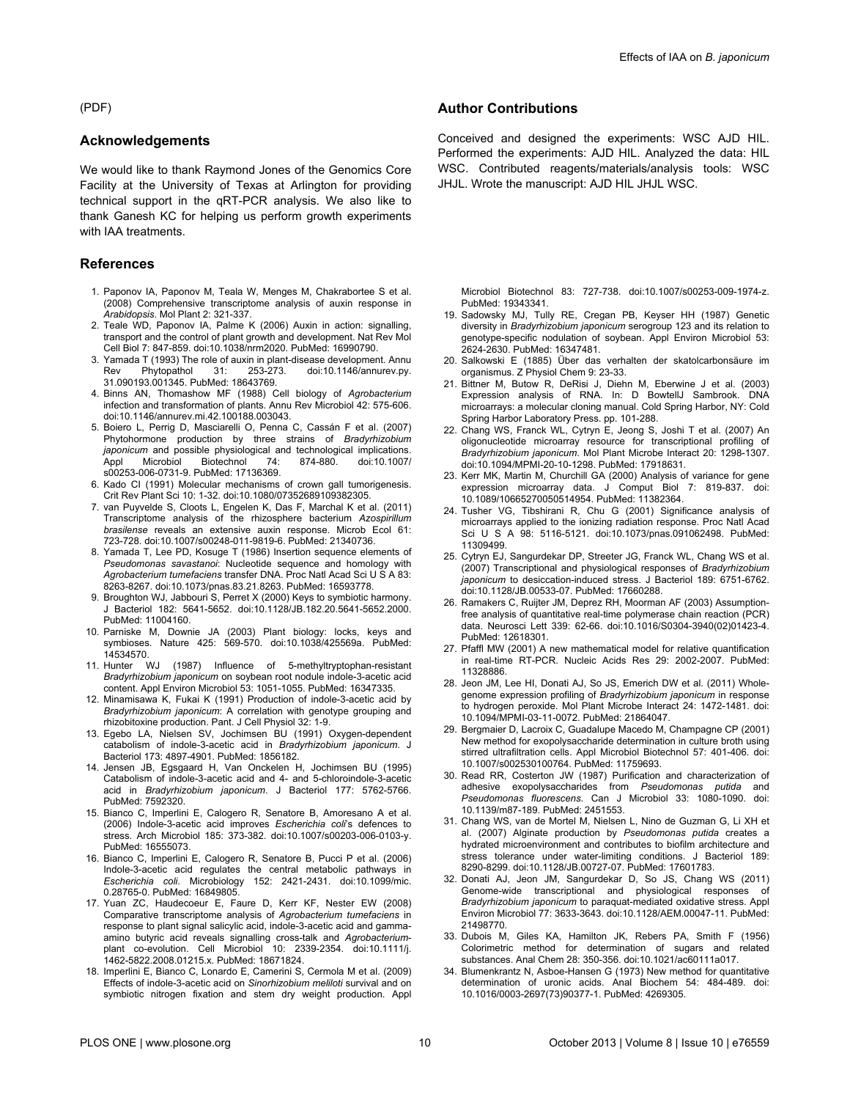<span id="page-9-0"></span>(PDF)

#### **Acknowledgements**

We would like to thank Raymond Jones of the Genomics Core Facility at the University of Texas at Arlington for providing technical support in the qRT-PCR analysis. We also like to thank Ganesh KC for helping us perform growth experiments with IAA treatments.

## **References**

- 1. Paponov IA, Paponov M, Teala W, Menges M, Chakrabortee S et al. (2008) Comprehensive transcriptome analysis of auxin response in *Arabidopsis*. Mol Plant 2: 321-337.
- 2. Teale WD, Paponov IA, Palme K (2006) Auxin in action: signalling, transport and the control of plant growth and development. Nat Rev Mol Cell Biol 7: 847-859. doi:[10.1038/nrm2020.](http://dx.doi.org/10.1038/nrm2020) PubMed: [16990790.](http://www.ncbi.nlm.nih.gov/pubmed/16990790)
- 3. Yamada T (1993) The role of auxin in plant-disease development. Annu Rev Phytopathol 31: 253-273. doi:[10.1146/annurev.py.](http://dx.doi.org/10.1146/annurev.py.31.090193.001345) [31.090193.001345.](http://dx.doi.org/10.1146/annurev.py.31.090193.001345) PubMed: [18643769.](http://www.ncbi.nlm.nih.gov/pubmed/18643769)
- 4. Binns AN, Thomashow MF (1988) Cell biology of *Agrobacterium* infection and transformation of plants. Annu Rev Microbiol 42: 575-606. doi:[10.1146/annurev.mi.42.100188.003043](http://dx.doi.org/10.1146/annurev.mi.42.100188.003043).
- 5. Boiero L, Perrig D, Masciarelli O, Penna C, Cassán F et al. (2007) Phytohormone production by three strains of *Bradyrhizobium japonicum* and possible physiological and technological implications. Appl Microbiol Biotechnol 74: 874-880. doi[:10.1007/](http://dx.doi.org/10.1007/s00253-006-0731-9) [s00253-006-0731-9.](http://dx.doi.org/10.1007/s00253-006-0731-9) PubMed: [17136369.](http://www.ncbi.nlm.nih.gov/pubmed/17136369)
- 6. Kado CI (1991) Molecular mechanisms of crown gall tumorigenesis. Crit Rev Plant Sci 10: 1-32. doi[:10.1080/07352689109382305.](http://dx.doi.org/10.1080/07352689109382305)
- 7. van Puyvelde S, Cloots L, Engelen K, Das F, Marchal K et al. (2011) Transcriptome analysis of the rhizosphere bacterium *Azospirillum brasilense* reveals an extensive auxin response. Microb Ecol 61: 723-728. doi[:10.1007/s00248-011-9819-6.](http://dx.doi.org/10.1007/s00248-011-9819-6) PubMed: [21340736.](http://www.ncbi.nlm.nih.gov/pubmed/21340736)
- 8. Yamada T, Lee PD, Kosuge T (1986) Insertion sequence elements of *Pseudomonas savastanoi*: Nucleotide sequence and homology with *Agrobacterium tumefaciens* transfer DNA. Proc Natl Acad Sci U S A 83: 8263-8267. doi[:10.1073/pnas.83.21.8263.](http://dx.doi.org/10.1073/pnas.83.21.8263) PubMed: [16593778.](http://www.ncbi.nlm.nih.gov/pubmed/16593778)
- 9. Broughton WJ, Jabbouri S, Perret X (2000) Keys to symbiotic harmony. J Bacteriol 182: 5641-5652. doi:[10.1128/JB.182.20.5641-5652.2000.](http://dx.doi.org/10.1128/JB.182.20.5641-5652.2000) PubMed: [11004160.](http://www.ncbi.nlm.nih.gov/pubmed/11004160)
- 10. Parniske M, Downie JA (2003) Plant biology: locks, keys and symbioses. Nature 425: 569-570. doi[:10.1038/425569a.](http://dx.doi.org/10.1038/425569a) PubMed: [14534570.](http://www.ncbi.nlm.nih.gov/pubmed/14534570)
- 11. Hunter WJ (1987) Influence of 5-methyltryptophan-resistant *Bradyrhizobium japonicum* on soybean root nodule indole-3-acetic acid content. Appl Environ Microbiol 53: 1051-1055. PubMed: [16347335](http://www.ncbi.nlm.nih.gov/pubmed/16347335).
- 12. Minamisawa K, Fukai K (1991) Production of indole-3-acetic acid by *Bradyrhizobium japonicum*: A correlation with genotype grouping and rhizobitoxine production. Pant. J Cell Physiol 32: 1-9.
- 13. Egebo LA, Nielsen SV, Jochimsen BU (1991) Oxygen-dependent catabolism of indole-3-acetic acid in *Bradyrhizobium japonicum*. J Bacteriol 173: 4897-4901. PubMed: [1856182.](http://www.ncbi.nlm.nih.gov/pubmed/1856182)
- 14. Jensen JB, Egsgaard H, Van Onckelen H, Jochimsen BU (1995) Catabolism of indole-3-acetic acid and 4- and 5-chloroindole-3-acetic acid in *Bradyrhizobium japonicum*. J Bacteriol 177: 5762-5766. PubMed: [7592320.](http://www.ncbi.nlm.nih.gov/pubmed/7592320)
- 15. Bianco C, Imperlini E, Calogero R, Senatore B, Amoresano A et al. (2006) Indole-3-acetic acid improves *Escherichia coli*'s defences to stress. Arch Microbiol 185: 373-382. doi:[10.1007/s00203-006-0103-y.](http://dx.doi.org/10.1007/s00203-006-0103-y) PubMed: [16555073.](http://www.ncbi.nlm.nih.gov/pubmed/16555073)
- 16. Bianco C, Imperlini E, Calogero R, Senatore B, Pucci P et al. (2006) Indole-3-acetic acid regulates the central metabolic pathways in *Escherichia coli*. Microbiology 152: 2421-2431. doi[:10.1099/mic.](http://dx.doi.org/10.1099/mic.0.28765-0) [0.28765-0](http://dx.doi.org/10.1099/mic.0.28765-0). PubMed: [16849805](http://www.ncbi.nlm.nih.gov/pubmed/16849805).
- 17. Yuan ZC, Haudecoeur E, Faure D, Kerr KF, Nester EW (2008) Comparative transcriptome analysis of *Agrobacterium tumefaciens* in response to plant signal salicylic acid, indole-3-acetic acid and gammaamino butyric acid reveals signalling cross-talk and *Agrobacterium*plant co-evolution. Cell Microbiol 10: 2339-2354. doi:[10.1111/j.](http://dx.doi.org/10.1111/j.1462-5822.2008.01215.x) [1462-5822.2008.01215.x](http://dx.doi.org/10.1111/j.1462-5822.2008.01215.x). PubMed: [18671824](http://www.ncbi.nlm.nih.gov/pubmed/18671824).
- 18. Imperlini E, Bianco C, Lonardo E, Camerini S, Cermola M et al. (2009) Effects of indole-3-acetic acid on *Sinorhizobium meliloti* survival and on symbiotic nitrogen fixation and stem dry weight production. Appl

# **Author Contributions**

Conceived and designed the experiments: WSC AJD HIL. Performed the experiments: AJD HIL. Analyzed the data: HIL WSC. Contributed reagents/materials/analysis tools: WSC JHJL. Wrote the manuscript: AJD HIL JHJL WSC.

Microbiol Biotechnol 83: 727-738. doi[:10.1007/s00253-009-1974-z](http://dx.doi.org/10.1007/s00253-009-1974-z). PubMed: [19343341.](http://www.ncbi.nlm.nih.gov/pubmed/19343341)

- 19. Sadowsky MJ, Tully RE, Cregan PB, Keyser HH (1987) Genetic diversity in *Bradyrhizobium japonicum* serogroup 123 and its relation to genotype-specific nodulation of soybean. Appl Environ Microbiol 53: 2624-2630. PubMed: [16347481.](http://www.ncbi.nlm.nih.gov/pubmed/16347481)
- 20. Salkowski E (1885) Über das verhalten der skatolcarbonsäure im organismus. Z Physiol Chem 9: 23-33.
- 21. Bittner M, Butow R, DeRisi J, Diehn M, Eberwine J et al. (2003) Expression analysis of RNA. In: D BowtellJ Sambrook. DNA microarrays: a molecular cloning manual. Cold Spring Harbor, NY: Cold Spring Harbor Laboratory Press. pp. 101-288.
- 22. Chang WS, Franck WL, Cytryn E, Jeong S, Joshi T et al. (2007) An oligonucleotide microarray resource for transcriptional profiling of *Bradyrhizobium japonicum*. Mol Plant Microbe Interact 20: 1298-1307. doi:[10.1094/MPMI-20-10-1298](http://dx.doi.org/10.1094/MPMI-20-10-1298). PubMed: [17918631](http://www.ncbi.nlm.nih.gov/pubmed/17918631).
- 23. Kerr MK, Martin M, Churchill GA (2000) Analysis of variance for gene expression microarray data. J Comput Biol 7: 819-837. doi: [10.1089/10665270050514954.](http://dx.doi.org/10.1089/10665270050514954) PubMed: [11382364.](http://www.ncbi.nlm.nih.gov/pubmed/11382364)
- 24. Tusher VG, Tibshirani R, Chu G (2001) Significance analysis of microarrays applied to the ionizing radiation response. Proc Natl Acad Sci U S A 98: 5116-5121. doi[:10.1073/pnas.091062498.](http://dx.doi.org/10.1073/pnas.091062498) PubMed: [11309499.](http://www.ncbi.nlm.nih.gov/pubmed/11309499)
- 25. Cytryn EJ, Sangurdekar DP, Streeter JG, Franck WL, Chang WS et al. (2007) Transcriptional and physiological responses of *Bradyrhizobium japonicum* to desiccation-induced stress. J Bacteriol 189: 6751-6762. doi:[10.1128/JB.00533-07.](http://dx.doi.org/10.1128/JB.00533-07) PubMed: [17660288.](http://www.ncbi.nlm.nih.gov/pubmed/17660288)
- 26. Ramakers C, Ruijter JM, Deprez RH, Moorman AF (2003) Assumptionfree analysis of quantitative real-time polymerase chain reaction (PCR) data. Neurosci Lett 339: 62-66. doi:[10.1016/S0304-3940\(02\)01423-4](http://dx.doi.org/10.1016/S0304-3940(02)01423-4). PubMed: [12618301.](http://www.ncbi.nlm.nih.gov/pubmed/12618301)
- 27. Pfaffl MW (2001) A new mathematical model for relative quantification in real-time RT-PCR. Nucleic Acids Res 29: 2002-2007. PubMed: [11328886.](http://www.ncbi.nlm.nih.gov/pubmed/11328886)
- 28. Jeon JM, Lee HI, Donati AJ, So JS, Emerich DW et al. (2011) Wholegenome expression profiling of *Bradyrhizobium japonicum* in response to hydrogen peroxide. Mol Plant Microbe Interact 24: 1472-1481. doi: [10.1094/MPMI-03-11-0072](http://dx.doi.org/10.1094/MPMI-03-11-0072). PubMed: [21864047](http://www.ncbi.nlm.nih.gov/pubmed/21864047).
- 29. Bergmaier D, Lacroix C, Guadalupe Macedo M, Champagne CP (2001) New method for exopolysaccharide determination in culture broth using stirred ultrafiltration cells. Appl Microbiol Biotechnol 57: 401-406. doi: [10.1007/s002530100764.](http://dx.doi.org/10.1007/s002530100764) PubMed: [11759693.](http://www.ncbi.nlm.nih.gov/pubmed/11759693)
- 30. Read RR, Costerton JW (1987) Purification and characterization of adhesive exopolysaccharides from *Pseudomonas putida* and *Pseudomonas fluorescens*. Can J Microbiol 33: 1080-1090. doi: [10.1139/m87-189](http://dx.doi.org/10.1139/m87-189). PubMed: [2451553](http://www.ncbi.nlm.nih.gov/pubmed/2451553).
- 31. Chang WS, van de Mortel M, Nielsen L, Nino de Guzman G, Li XH et al. (2007) Alginate production by *Pseudomonas putida* creates a hydrated microenvironment and contributes to biofilm architecture and stress tolerance under water-limiting conditions. J Bacteriol 189: 8290-8299. doi[:10.1128/JB.00727-07](http://dx.doi.org/10.1128/JB.00727-07). PubMed: [17601783](http://www.ncbi.nlm.nih.gov/pubmed/17601783).
- 32. Donati AJ, Jeon JM, Sangurdekar D, So JS, Chang WS (2011) Genome-wide transcriptional and physiological responses of *Bradyrhizobium japonicum* to paraquat-mediated oxidative stress. Appl Environ Microbiol 77: 3633-3643. doi:[10.1128/AEM.00047-11](http://dx.doi.org/10.1128/AEM.00047-11). PubMed: [21498770.](http://www.ncbi.nlm.nih.gov/pubmed/21498770)
- 33. Dubois M, Giles KA, Hamilton JK, Rebers PA, Smith F (1956) Colorimetric method for determination of sugars and related substances. Anal Chem 28: 350-356. doi:[10.1021/ac60111a017.](http://dx.doi.org/10.1021/ac60111a017)
- 34. Blumenkrantz N, Asboe-Hansen G (1973) New method for quantitative determination of uronic acids. Anal Biochem 54: 484-489. doi: [10.1016/0003-2697\(73\)90377-1](http://dx.doi.org/10.1016/0003-2697(73)90377-1). PubMed: [4269305](http://www.ncbi.nlm.nih.gov/pubmed/4269305).